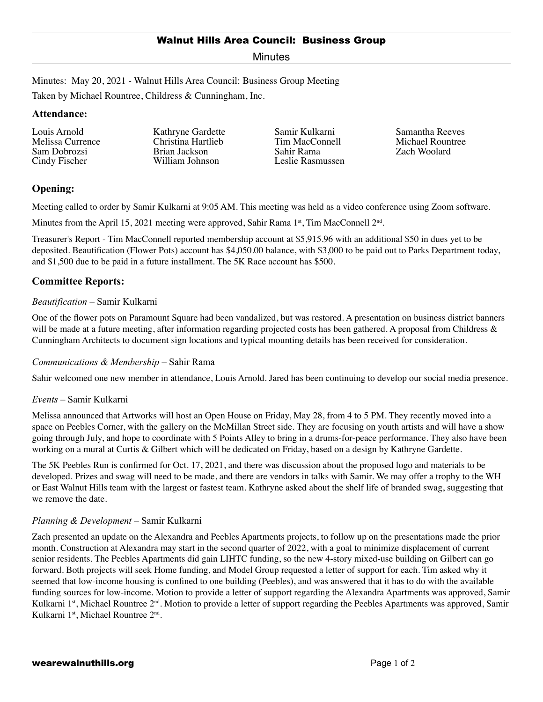Minutes

Minutes: May 20, 2021 - Walnut Hills Area Council: Business Group Meeting

Taken by Michael Rountree, Childress & Cunningham, Inc.

### **Attendance:**

Louis Arnold Melissa Currence Sam Dobrozsi Cindy Fischer

Kathryne Gardette Christina Hartlieb Brian Jackson William Johnson

Samir Kulkarni Tim MacConnell Sahir Rama Leslie Rasmussen Samantha Reeves Michael Rountree Zach Woolard

# **Opening:**

Meeting called to order by Samir Kulkarni at 9:05 AM. This meeting was held as a video conference using Zoom software.

Minutes from the April 15, 2021 meeting were approved, Sahir Rama  $1<sup>st</sup>$ , Tim MacConnell  $2<sup>nd</sup>$ .

Treasurer's Report - Tim MacConnell reported membership account at \$5,915.96 with an additional \$50 in dues yet to be deposited. Beautification (Flower Pots) account has \$4,050.00 balance, with \$3,000 to be paid out to Parks Department today, and \$1,500 due to be paid in a future installment. The 5K Race account has \$500.

## **Committee Reports:**

### *Beautification* – Samir Kulkarni

One of the flower pots on Paramount Square had been vandalized, but was restored. A presentation on business district banners will be made at a future meeting, after information regarding projected costs has been gathered. A proposal from Childress  $\&$ Cunningham Architects to document sign locations and typical mounting details has been received for consideration.

### *Communications & Membership* – Sahir Rama

Sahir welcomed one new member in attendance, Louis Arnold. Jared has been continuing to develop our social media presence.

### *Events* – Samir Kulkarni

Melissa announced that Artworks will host an Open House on Friday, May 28, from 4 to 5 PM. They recently moved into a space on Peebles Corner, with the gallery on the McMillan Street side. They are focusing on youth artists and will have a show going through July, and hope to coordinate with 5 Points Alley to bring in a drums-for-peace performance. They also have been working on a mural at Curtis & Gilbert which will be dedicated on Friday, based on a design by Kathryne Gardette.

The 5K Peebles Run is confirmed for Oct. 17, 2021, and there was discussion about the proposed logo and materials to be developed. Prizes and swag will need to be made, and there are vendors in talks with Samir. We may offer a trophy to the WH or East Walnut Hills team with the largest or fastest team. Kathryne asked about the shelf life of branded swag, suggesting that we remove the date.

### *Planning & Development* – Samir Kulkarni

Zach presented an update on the Alexandra and Peebles Apartments projects, to follow up on the presentations made the prior month. Construction at Alexandra may start in the second quarter of 2022, with a goal to minimize displacement of current senior residents. The Peebles Apartments did gain LIHTC funding, so the new 4-story mixed-use building on Gilbert can go forward. Both projects will seek Home funding, and Model Group requested a letter of support for each. Tim asked why it seemed that low-income housing is confined to one building (Peebles), and was answered that it has to do with the available funding sources for low-income. Motion to provide a letter of support regarding the Alexandra Apartments was approved, Samir Kulkarni 1<sup>st</sup>, Michael Rountree 2<sup>nd</sup>. Motion to provide a letter of support regarding the Peebles Apartments was approved, Samir Kulkarni 1st, Michael Rountree 2nd.